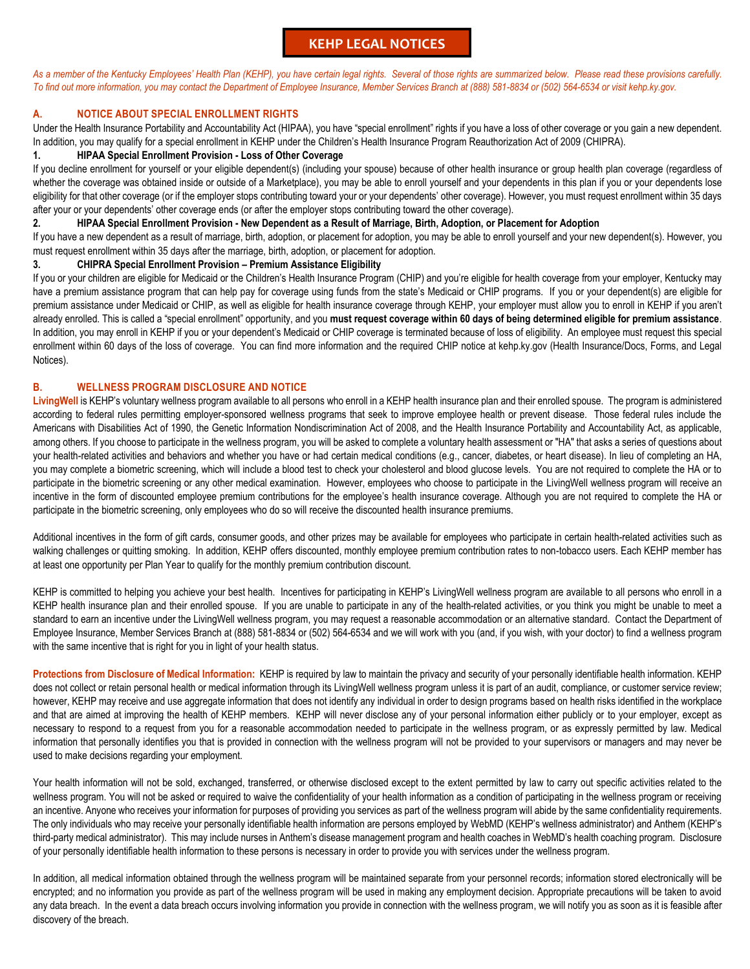# **KEHP LEGAL NOTICES**

As a member of the Kentucky Employees' Health Plan (KEHP), you have certain legal rights. Several of those rights are summarized below. Please read these provisions carefully. *To find out more information, you may contact the Department of Employee Insurance, Member Services Branch at (888) 581-8834 or (502) 564-6534 or visit kehp.ky.gov.*

# **A. NOTICE ABOUT SPECIAL ENROLLMENT RIGHTS**

Under the Health Insurance Portability and Accountability Act (HIPAA), you have "special enrollment" rights if you have a loss of other coverage or you gain a new dependent. In addition, you may qualify for a special enrollment in KEHP under the Children's Health Insurance Program Reauthorization Act of 2009 (CHIPRA).

## **1. HIPAA Special Enrollment Provision - Loss of Other Coverage**

If you decline enrollment for yourself or your eligible dependent(s) (including your spouse) because of other health insurance or group health plan coverage (regardless of whether the coverage was obtained inside or outside of a Marketplace), you may be able to enroll yourself and your dependents in this plan if you or your dependents lose eligibility for that other coverage (or if the employer stops contributing toward your or your dependents' other coverage). However, you must request enrollment within 35 days after your or your dependents' other coverage ends (or after the employer stops contributing toward the other coverage).

### **2. HIPAA Special Enrollment Provision - New Dependent as a Result of Marriage, Birth, Adoption, or Placement for Adoption**

If you have a new dependent as a result of marriage, birth, adoption, or placement for adoption, you may be able to enroll yourself and your new dependent(s). However, you must request enrollment within 35 days after the marriage, birth, adoption, or placement for adoption.

# **3. CHIPRA Special Enrollment Provision – Premium Assistance Eligibility**

If you or your children are eligible for Medicaid or the Children's Health Insurance Program (CHIP) and you're eligible for health coverage from your employer, Kentucky may have a premium assistance program that can help pay for coverage using funds from the state's Medicaid or CHIP programs. If you or your dependent(s) are eligible for premium assistance under Medicaid or CHIP, as well as eligible for health insurance coverage through KEHP, your employer must allow you to enroll in KEHP if you aren't already enrolled. This is called a "special enrollment" opportunity, and you **must request coverage within 60 days of being determined eligible for premium assistance**. In addition, you may enroll in KEHP if you or your dependent's Medicaid or CHIP coverage is terminated because of loss of eligibility. An employee must request this special enrollment within 60 days of the loss of coverage. You can find more information and the required CHIP notice at kehp.ky.gov (Health Insurance/Docs, Forms, and Legal Notices).

## **B. WELLNESS PROGRAM DISCLOSURE AND NOTICE**

**LivingWell** is KEHP's voluntary wellness program available to all persons who enroll in a KEHP health insurance plan and their enrolled spouse. The program is administered according to federal rules permitting employer-sponsored wellness programs that seek to improve employee health or prevent disease. Those federal rules include the Americans with Disabilities Act of 1990, the Genetic Information Nondiscrimination Act of 2008, and the Health Insurance Portability and Accountability Act, as applicable, among others. If you choose to participate in the wellness program, you will be asked to complete a voluntary health assessment or "HA" that asks a series of questions about your health-related activities and behaviors and whether you have or had certain medical conditions (e.g., cancer, diabetes, or heart disease). In lieu of completing an HA, you may complete a biometric screening, which will include a blood test to check your cholesterol and blood glucose levels. You are not required to complete the HA or to participate in the biometric screening or any other medical examination. However, employees who choose to participate in the LivingWell wellness program will receive an incentive in the form of discounted employee premium contributions for the employee's health insurance coverage. Although you are not required to complete the HA or participate in the biometric screening, only employees who do so will receive the discounted health insurance premiums.

Additional incentives in the form of gift cards, consumer goods, and other prizes may be available for employees who participate in certain health-related activities such as walking challenges or quitting smoking. In addition, KEHP offers discounted, monthly employee premium contribution rates to non-tobacco users. Each KEHP member has at least one opportunity per Plan Year to qualify for the monthly premium contribution discount.

KEHP is committed to helping you achieve your best health. Incentives for participating in KEHP's LivingWell wellness program are available to all persons who enroll in a KEHP health insurance plan and their enrolled spouse. If you are unable to participate in any of the health-related activities, or you think you might be unable to meet a standard to earn an incentive under the LivingWell wellness program, you may request a reasonable accommodation or an alternative standard. Contact the Department of Employee Insurance, Member Services Branch at (888) 581-8834 or (502) 564-6534 and we will work with you (and, if you wish, with your doctor) to find a wellness program with the same incentive that is right for you in light of your health status.

**Protections from Disclosure of Medical Information:** KEHP is required by law to maintain the privacy and security of your personally identifiable health information. KEHP does not collect or retain personal health or medical information through its LivingWell wellness program unless it is part of an audit, compliance, or customer service review; however, KEHP may receive and use aggregate information that does not identify any individual in order to design programs based on health risks identified in the workplace and that are aimed at improving the health of KEHP members. KEHP will never disclose any of your personal information either publicly or to your employer, except as necessary to respond to a request from you for a reasonable accommodation needed to participate in the wellness program, or as expressly permitted by law. Medical information that personally identifies you that is provided in connection with the wellness program will not be provided to your supervisors or managers and may never be used to make decisions regarding your employment.

Your health information will not be sold, exchanged, transferred, or otherwise disclosed except to the extent permitted by law to carry out specific activities related to the wellness program. You will not be asked or required to waive the confidentiality of your health information as a condition of participating in the wellness program or receiving an incentive. Anyone who receives your information for purposes of providing you services as part of the wellness program will abide by the same confidentiality requirements. The only individuals who may receive your personally identifiable health information are persons employed by WebMD (KEHP's wellness administrator) and Anthem (KEHP's third-party medical administrator). This may include nurses in Anthem's disease management program and health coaches in WebMD's health coaching program. Disclosure of your personally identifiable health information to these persons is necessary in order to provide you with services under the wellness program.

In addition, all medical information obtained through the wellness program will be maintained separate from your personnel records; information stored electronically will be encrypted; and no information you provide as part of the wellness program will be used in making any employment decision. Appropriate precautions will be taken to avoid any data breach. In the event a data breach occurs involving information you provide in connection with the wellness program, we will notify you as soon as it is feasible after discovery of the breach.